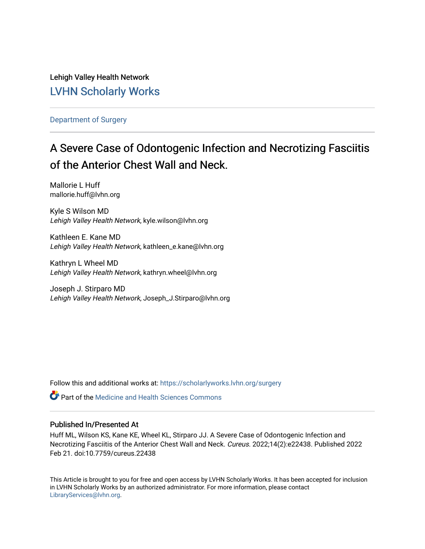Lehigh Valley Health Network [LVHN Scholarly Works](https://scholarlyworks.lvhn.org/)

[Department of Surgery](https://scholarlyworks.lvhn.org/surgery) 

# A Severe Case of Odontogenic Infection and Necrotizing Fasciitis of the Anterior Chest Wall and Neck.

Mallorie L Huff mallorie.huff@lvhn.org

Kyle S Wilson MD Lehigh Valley Health Network, kyle.wilson@lvhn.org

Kathleen E. Kane MD Lehigh Valley Health Network, kathleen\_e.kane@lvhn.org

Kathryn L Wheel MD Lehigh Valley Health Network, kathryn.wheel@lvhn.org

Joseph J. Stirparo MD Lehigh Valley Health Network, Joseph\_J.Stirparo@lvhn.org

Follow this and additional works at: [https://scholarlyworks.lvhn.org/surgery](https://scholarlyworks.lvhn.org/surgery?utm_source=scholarlyworks.lvhn.org%2Fsurgery%2F1773&utm_medium=PDF&utm_campaign=PDFCoverPages)

**C** Part of the Medicine and Health Sciences Commons

#### Published In/Presented At

Huff ML, Wilson KS, Kane KE, Wheel KL, Stirparo JJ. A Severe Case of Odontogenic Infection and Necrotizing Fasciitis of the Anterior Chest Wall and Neck. Cureus. 2022;14(2):e22438. Published 2022 Feb 21. doi:10.7759/cureus.22438

This Article is brought to you for free and open access by LVHN Scholarly Works. It has been accepted for inclusion in LVHN Scholarly Works by an authorized administrator. For more information, please contact [LibraryServices@lvhn.org](mailto:LibraryServices@lvhn.org).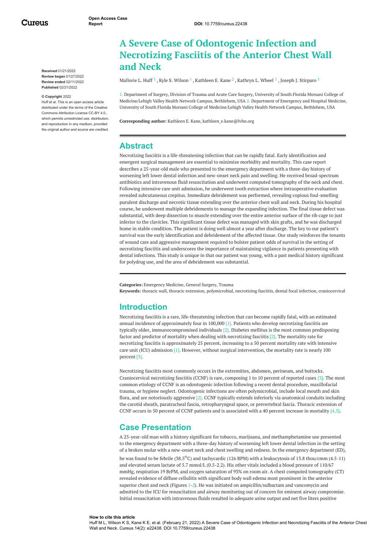Cureus

**Received** 01/21/2022 **Review began** 01/27/2022 **Review ended** 02/11/2022 **Published** 02/21/2022

#### **© Copyright** 2022

Huff et al. This is an open access article distributed under the terms of the Creative Commons Attribution License CC-BY 4.0., which permits unrestricted use, distribution, and reproduction in any medium, provided the original author and source are credited.

## <span id="page-1-0"></span>**A Severe Case of Odontogenic Infection and Necrotizing Fasciitis of the Anterior Chest Wall and Neck**

[Mallorie](https://www.cureus.com/users/231100-mallorie-l-huff) L. Huff  $^1$  , Kyle S. [Wilson](https://www.cureus.com/users/326048-kyle-s-wilson)  $^1$  , [Kathleen](https://www.cureus.com/users/326050-kathleen-e-kane) E. Kane  $^2$  , [Kathryn](https://www.cureus.com/users/326051-kathryn-wheel) L. Wheel  $^1$  , Joseph J. [Stirparo](https://www.cureus.com/users/326052-joseph-stirparo)  $^1$ 

1. Department of Surgery, Division of Trauma and Acute Care Surgery, University of South Florida Morsani College of Medicine/Lehigh Valley Health Network Campus, Bethlehem, USA 2. Department of Emergency and Hospital Medicine, University of South Florida Morsani College of Medicine/Lehigh Valley Health Network Campus, Bethlehem, USA

**Corresponding author:** Kathleen E. Kane, kathleen\_e.kane@lvhn.org

#### **Abstract**

Necrotizing fasciitis is a life-threatening infection that can be rapidly fatal. Early identification and emergent surgical management are essential to minimize morbidity and mortality. This case report describes a 25-year-old male who presented to the emergency department with a three-day history of worsening left lower dental infection and new-onset neck pain and swelling. He received broad-spectrum antibiotics and intravenous fluid resuscitation and underwent computed tomography of the neck and chest. Following intensive care unit admission, he underwent tooth extraction where intraoperative evaluation revealed subcutaneous crepitus. Immediate debridement was performed, revealing copious foul-smelling purulent discharge and necrotic tissue extending over the anterior chest wall and neck. During his hospital course, he underwent multiple debridements to manage the expanding infection. The final tissue defect was substantial, with deep dissection to muscle extending over the entire anterior surface of the rib cage to just inferior to the clavicles. This significant tissue defect was managed with skin grafts, and he was discharged home in stable condition. The patient is doing well almost a year after discharge. The key to our patient's survival was the early identification and debridement of the affected tissue. Our study reinforces the tenants of wound care and aggressive management required to bolster patient odds of survival in the setting of necrotizing fasciitis and underscores the importance of maintaining vigilance in patients presenting with dental infections. This study is unique in that our patient was young, with a past medical history significant for polydrug use, and the area of debridement was substantial.

**Categories:** Emergency Medicine, General Surgery, Trauma

**Keywords:** thoracic wall, thoracic extension, polymicrobial, necrotizing fasciitis, dental focal infection, craniocervical

## <span id="page-1-1"></span>**Introduction**

Necrotizing fasciitis is a rare, life-threatening infection that can become rapidly fatal, with an estimated annual incidence of approximately four in 100,000 [1]. Patients who develop necrotizing fasciitis are typically older, immunocompromised individuals [2]. Diabetes mellitus is the most common predisposing factor and predictor of mortality when dealing with necrotizing fasciitis [2]. The mortality rate for necrotizing fasciitis is approximately 25 percent, increasing to a 50 percent mortality rate with intensive care unit (ICU) admission [1]. However, without surgical intervention, the mortality rate is nearly 100 percent [3].

Necrotizing fasciitis most commonly occurs in the extremities, abdomen, perineum, and buttocks. Craniocervical necrotizing fasciitis (CCNF) is rare, composing 1 to 10 percent of reported cases [3]. The most common etiology of CCNF is an odontogenic infection following a recent dental procedure, maxillofacial trauma, or hygiene neglect. Odontogenic infections are often polymicrobial, include local mouth and skin flora, and are notoriously aggressive [2]. CCNF typically extends inferiorly via anatomical conduits including the carotid sheath, paratracheal fascia, retropharyngeal space, or prevertebral fascia. Thoracic extension of CCNF occurs in 50 percent of CCNF patients and is associated with a 40 percent increase in mortality  $[4,5]$ .

## **Case Presentation**

A 25-year-old man with a history significant for tobacco, marijuana, and methamphetamine use presented to the emergency department with a three-day history of worsening left lower dental infection in the setting of a broken molar with a new-onset neck and chest swelling and redness. In the emergency department (ED), he was found to be febrile (38.5<sup>o</sup>C) and tachycardic (126 BPM) with a leukocytosis of 13.8 thou/cmm (4.5-11) and elevated serum lactate of 5.7 mmol/L (0.5-2.2). His other vitals included a blood pressure of 110/67 mmHg, respiration 19 BrPM, and oxygen saturation of 93% on room air. A chest computed tomography (CT) revealed evidence of diffuse cellulitis with significant body wall edema most prominent in the anterior superior chest and neck (Figures *[1](#page-1-0)*-*[2](#page-1-1)*). He was initiated on ampicillin/sulbactam and vancomycin and admitted to the ICU for resuscitation and airway monitoring out of concern for eminent airway compromise. Initial resuscitation with intravenous fluids resulted in adequate urine output and net five liters positive

#### **How to cite this article**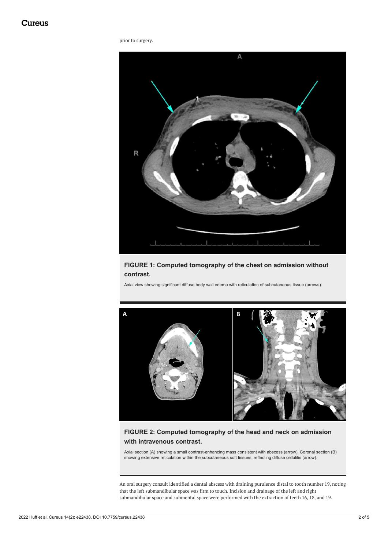#### prior to surgery.

<span id="page-2-0"></span>

#### **FIGURE 1: Computed tomography of the chest on admission without contrast.**

Axial view showing significant diffuse body wall edema with reticulation of subcutaneous tissue (arrows).



## **FIGURE 2: Computed tomography of the head and neck on admission with intravenous contrast.**

Axial section (A) showing a small contrast-enhancing mass consistent with abscess (arrow). Coronal section (B) showing extensive reticulation within the subcutaneous soft tissues, reflecting diffuse cellulitis (arrow).

An oral surgery consult identified a dental abscess with draining purulence distal to tooth number 19, noting that the left submandibular space was firm to touch. Incision and drainage of the left and right submandibular space and submental space were performed with the extraction of teeth 16, 18, and 19.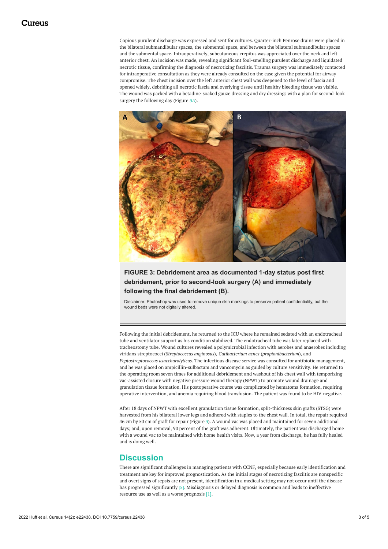Copious purulent discharge was expressed and sent for cultures. Quarter-inch Penrose drains were placed in the bilateral submandibular spaces, the submental space, and between the bilateral submandibular spaces and the submental space. Intraoperatively, subcutaneous crepitus was appreciated over the neck and left anterior chest. An incision was made, revealing significant foul-smelling purulent discharge and liquidated necrotic tissue, confirming the diagnosis of necrotizing fasciitis. Trauma surgery was immediately contacted for intraoperative consultation as they were already consulted on the case given the potential for airway compromise. The chest incision over the left anterior chest wall was deepened to the level of fascia and opened widely, debriding all necrotic fascia and overlying tissue until healthy bleeding tissue was visible. The wound was packed with a betadine-soaked gauze dressing and dry dressings with a plan for second-look surgery the following day (Figure *[3A](#page-2-0)*).



#### **FIGURE 3: Debridement area as documented 1-day status post first debridement, prior to second-look surgery (A) and immediately following the final debridement (B).**

Disclaimer: Photoshop was used to remove unique skin markings to preserve patient confidentiality, but the wound beds were not digitally altered.

Following the initial debridement, he returned to the ICU where he remained sedated with an endotracheal tube and ventilator support as his condition stabilized. The endotracheal tube was later replaced with tracheostomy tube. Wound cultures revealed a polymicrobial infection with aerobes and anaerobes including viridans streptococci (*Streptococcus anginosus*), *Cutibacterium acnes* (*propionibacterium*), and *Peptostreptococcus asaccharolyticus*. The infectious disease service was consulted for antibiotic management, and he was placed on ampicillin-sulbactam and vancomycin as guided by culture sensitivity. He returned to the operating room seven times for additional debridement and washout of his chest wall with temporizing vac-assisted closure with negative pressure wound therapy (NPWT) to promote wound drainage and granulation tissue formation. His postoperative course was complicated by hematoma formation, requiring operative intervention, and anemia requiring blood transfusion. The patient was found to be HIV-negative.

After 18 days of NPWT with excellent granulation tissue formation, split-thickness skin grafts (STSG) were harvested from his bilateral lower legs and adhered with staples to the chest wall. In total, the repair required 46 cm by 50 cm of graft for repair (Figure *[3](#page-2-0)*). A wound vac was placed and maintained for seven additional days; and, upon removal, 90 percent of the graft was adherent. Ultimately, the patient was discharged home with a wound vac to be maintained with home health visits. Now, a year from discharge, he has fully healed and is doing well.

## **Discussion**

There are significant challenges in managing patients with CCNF, especially because early identification and treatment are key for improved prognostication. As the initial stages of necrotizing fasciitis are nonspecific and overt signs of sepsis are not present, identification in a medical setting may not occur until the disease has progressed significantly [5]. Misdiagnosis or delayed diagnosis is common and leads to ineffective resource use as well as a worse prognosis [1].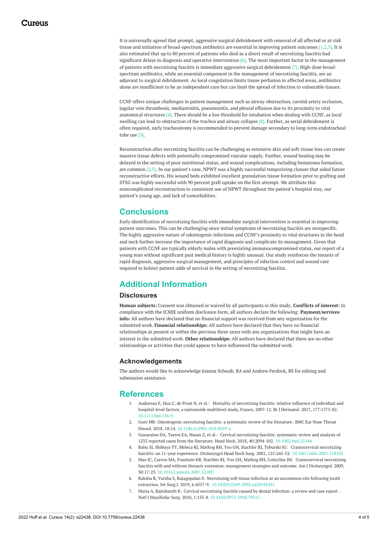It is universally agreed that prompt, aggressive surgical debridement with removal of all affected or at-risk tissue and initiation of broad-spectrum antibiotics are essential in improving patient outcomes [1,2,5]. It is also estimated that up to 80 percent of patients who died as a direct result of necrotizing fasciitis had significant delays in diagnosis and operative intervention  $[6]$ . The most important factor in the management of patients with necrotizing fasciitis is immediate aggressive surgical debridement [7]. High-dose broadspectrum antibiotics, while an essential component in the management of necrotizing fasciitis, are an adjuvant to surgical debridement. As local coagulation limits tissue perfusion in affected areas, antibiotics alone are insufficient to be an independent cure but can limit the spread of infection to vulnerable tissues.

CCNF offers unique challenges in patient management such as airway obstruction, carotid artery occlusion, jugular vein thrombosis, mediastinitis, pneumonitis, and pleural effusion due to its proximity to vital anatomical structures [4]. There should be a low threshold for intubation when dealing with CCNF, as local swelling can lead to obstruction of the trachea and airway collapse [8]. Further, as serial debridement is often required, early tracheostomy is recommended to prevent damage secondary to long-term endotracheal tube use [3].

Reconstruction after necrotizing fasciitis can be challenging as extensive skin and soft-tissue loss can create massive tissue defects with potentially compromised vascular supply. Further, wound healing may be delayed in the setting of poor nutritional status, and wound complications, including hematoma formation, are common [2,5]. In our patient's case, NPWT was a highly successful temporizing closure that aided future reconstructive efforts. His wound beds exhibited excellent granulation tissue formation prior to grafting and STSG was highly successful with 90 percent graft uptake on the first attempt. We attribute this noncomplicated reconstruction to consistent use of NPWT throughout the patient's hospital stay, our patient's young age, and lack of comorbidities.

## **Conclusions**

Early identification of necrotizing fasciitis with immediate surgical intervention is essential in improving patient outcomes. This can be challenging since initial symptoms of necrotizing fasciitis are nonspecific. The highly aggressive nature of odontogenic infections and CCNF's proximity to vital structures in the head and neck further increase the importance of rapid diagnosis and complicate its management. Given that patients with CCNF are typically elderly males with preexisting immunocompromised status, our report of a young man without significant past medical history is highly unusual. Our study reinforces the tenants of rapid diagnosis, aggressive surgical management, and principles of infection control and wound care required to bolster patient odds of survival in the setting of necrotizing fasciitis.

## **Additional Information**

#### **Disclosures**

**Human subjects:** Consent was obtained or waived by all participants in this study. **Conflicts of interest:** In compliance with the ICMJE uniform disclosure form, all authors declare the following: **Payment/services info:** All authors have declared that no financial support was received from any organization for the submitted work. **Financial relationships:** All authors have declared that they have no financial relationships at present or within the previous three years with any organizations that might have an interest in the submitted work. **Other relationships:** All authors have declared that there are no other relationships or activities that could appear to have influenced the submitted work.

#### **Acknowledgements**

The authors would like to acknowledge Joanna Schwab, BA and Andrew Ferdock, BS for editing and submission assistance.

## **References**

- 1. Audureau E, Hua C, de Prost N, et al.: Mortality of necrotizing fasciitis: relative influence of individual and [hospital-level](https://dx.doi.org/10.1111/bjd.15615) factors, a nationwide multilevel study, France, 2007-12. Br J Dermatol. 2017, 177:1575-82. [10.1111/bjd.15615](https://dx.doi.org/10.1111/bjd.15615)
- 2. Gore MR: [Odontogenic](https://dx.doi.org/10.1186/s12901-018-0059-y) necrotizing fasciitis: a systematic review of the literature . BMC Ear Nose Throat Disord. 2018, 18:14. [10.1186/s12901-018-0059-y](https://dx.doi.org/10.1186/s12901-018-0059-y)
- 3. Gunaratne DA, Tseros EA, Hasan Z, et al.: Cervical necrotizing fasciitis: systematic review and analysis of 1235 reported cases from the literature. Head Neck. 2018, 40:2094-102. [10.1002/hed.25184](https://dx.doi.org/10.1002/hed.25184)
- 4. Bahu SJ, Shibuya TY, Meleca RJ, Mathog RH, Yoo GH, Stachler RJ, Tyburski JG: Craniocervical necrotizing fasciitis: an 11-year experience. Otolaryngol Head Neck Surg. 2001, 125:245-52. [10.1067/mhn.2001.118182](https://dx.doi.org/10.1067/mhn.2001.118182)
- 5. Mao JC, Carron MA, Fountain KR, Stachler RJ, Yoo GH, Mathog RH, Coticchia JM: [Craniocervical](https://dx.doi.org/10.1016/j.amjoto.2007.12.007) necrotizing fasciitis with and without thoracic extension: management strategies and outcome. Am J Otolaryngol. 2009, 30:17-23. [10.1016/j.amjoto.2007.12.007](https://dx.doi.org/10.1016/j.amjoto.2007.12.007)
- 6. Raksha R, Varsha S, Rajagopalan S: Necrotizing soft tissue infection at an uncommon site following tooth extraction. Int Surg J. 2019, 6:4557-9. [10.18203/2349-2902.isj20195431](https://dx.doi.org/10.18203/2349-2902.isj20195431)
- 7. Maria A, Rajnikanth K: Cervical [necrotizing](https://dx.doi.org/10.4103/0975-5950.79215) fasciitis caused by dental infection: a review and case report . Natl J Maxillofac Surg. 2010, 1:135-8. [10.4103/0975-5950.79215](https://dx.doi.org/10.4103/0975-5950.79215)